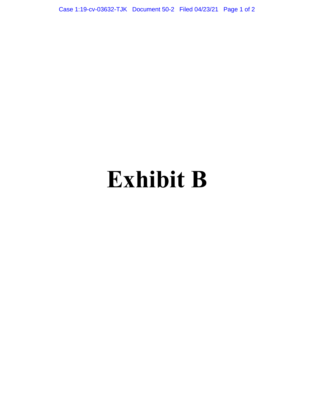Case 1:19-cv-03632-TJK Document 50-2 Filed 04/23/21 Page 1 of 2

## **Exhibit B**